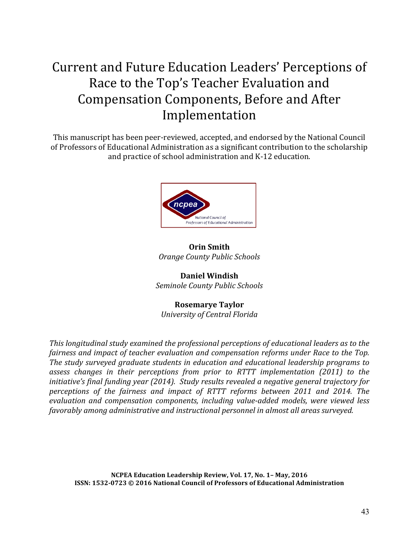# Current and Future Education Leaders' Perceptions of Race to the Top's Teacher Evaluation and Compensation Components, Before and After Implementation

This manuscript has been peer-reviewed, accepted, and endorsed by the National Council of Professors of Educational Administration as a significant contribution to the scholarship and practice of school administration and K-12 education.



## **Orin Smith** *Orange County Public Schools*

**Daniel Windish** *Seminole County Public Schools*

## **Rosemarye Taylor**

*University of Central Florida*

*This longitudinal study examined the professional perceptions of educational leaders as to the fairness and impact of teacher evaluation and compensation reforms under Race to the Top.* The study surveyed graduate students in education and educational leadership programs to assess changes in their perceptions from prior to RTTT implementation (2011) to the *initiative's* final funding year (2014). Study results revealed a negative general trajectory for perceptions of the fairness and impact of RTTT reforms between 2011 and 2014. The *evaluation and compensation components, including value-added models, were viewed less* favorably among administrative and instructional personnel in almost all areas surveyed.

**NCPEA Education Leadership Review, Vol. 17, No. 1– May, 2016 ISSN: 1532-0723 © 2016 National Council of Professors of Educational Administration**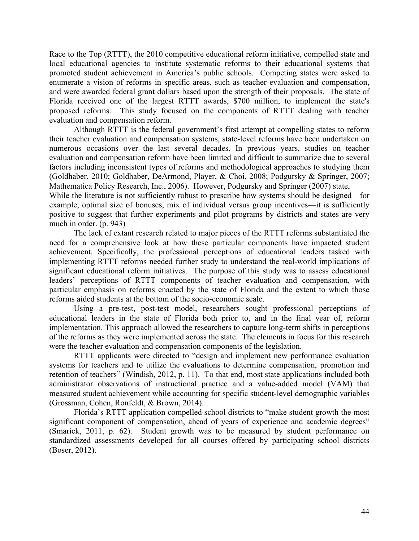Race to the Top (RTTT), the 2010 competitive educational reform initiative, compelled state and local educational agencies to institute systematic reforms to their educational systems that promoted student achievement in America's public schools. Competing states were asked to enumerate a vision of reforms in specific areas, such as teacher evaluation and compensation, and were awarded federal grant dollars based upon the strength of their proposals. The state of Florida received one of the largest RTTT awards, \$700 million, to implement the state's proposed reforms. This study focused on the components of RTTT dealing with teacher evaluation and compensation reform.

Although RTTT is the federal government's first attempt at compelling states to reform their teacher evaluation and compensation systems, state-level reforms have been undertaken on numerous occasions over the last several decades. In previous years, studies on teacher evaluation and compensation reform have been limited and difficult to summarize due to several factors including inconsistent types of reforms and methodological approaches to studying them (Goldhaber, 2010; Goldhaber, DeArmond, Player, & Choi, 2008; Podgursky & Springer, 2007; Mathematica Policy Research, Inc., 2006). However, Podgursky and Springer (2007) state,

While the literature is not sufficiently robust to prescribe how systems should be designed—for example, optimal size of bonuses, mix of individual versus group incentives—it is sufficiently positive to suggest that further experiments and pilot programs by districts and states are very much in order. (p. 943)

The lack of extant research related to major pieces of the RTTT reforms substantiated the need for a comprehensive look at how these particular components have impacted student achievement. Specifically, the professional perceptions of educational leaders tasked with implementing RTTT reforms needed further study to understand the real-world implications of significant educational reform initiatives. The purpose of this study was to assess educational leaders' perceptions of RTTT components of teacher evaluation and compensation, with particular emphasis on reforms enacted by the state of Florida and the extent to which those reforms aided students at the bottom of the socio-economic scale.

Using a pre-test, post-test model, researchers sought professional perceptions of educational leaders in the state of Florida both prior to, and in the final year of, reform implementation. This approach allowed the researchers to capture long-term shifts in perceptions of the reforms as they were implemented across the state. The elements in focus for this research were the teacher evaluation and compensation components of the legislation.

RTTT applicants were directed to "design and implement new performance evaluation systems for teachers and to utilize the evaluations to determine compensation, promotion and retention of teachers" (Windish, 2012, p. 11). To that end, most state applications included both administrator observations of instructional practice and a value-added model (VAM) that measured student achievement while accounting for specific student-level demographic variables (Grossman, Cohen, Ronfeldt, & Brown, 2014).

Florida's RTTT application compelled school districts to "make student growth the most significant component of compensation, ahead of years of experience and academic degrees" (Smarick, 2011, p. 62). Student growth was to be measured by student performance on standardized assessments developed for all courses offered by participating school districts (Boser, 2012).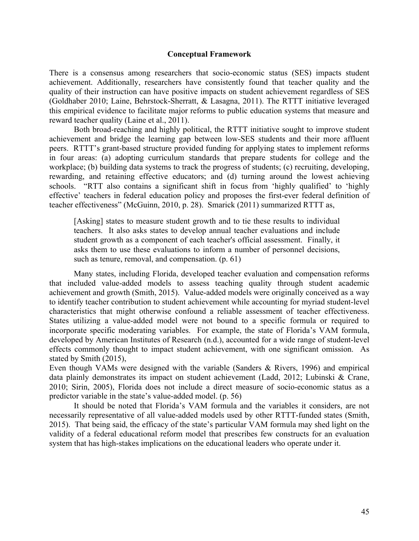#### **Conceptual Framework**

There is a consensus among researchers that socio-economic status (SES) impacts student achievement. Additionally, researchers have consistently found that teacher quality and the quality of their instruction can have positive impacts on student achievement regardless of SES (Goldhaber 2010; Laine, Behrstock-Sherratt, & Lasagna, 2011). The RTTT initiative leveraged this empirical evidence to facilitate major reforms to public education systems that measure and reward teacher quality (Laine et al., 2011).

Both broad-reaching and highly political, the RTTT initiative sought to improve student achievement and bridge the learning gap between low-SES students and their more affluent peers. RTTT's grant-based structure provided funding for applying states to implement reforms in four areas: (a) adopting curriculum standards that prepare students for college and the workplace; (b) building data systems to track the progress of students; (c) recruiting, developing, rewarding, and retaining effective educators; and (d) turning around the lowest achieving schools. "RTT also contains a significant shift in focus from 'highly qualified' to 'highly effective' teachers in federal education policy and proposes the first-ever federal definition of teacher effectiveness" (McGuinn, 2010, p. 28). Smarick (2011) summarized RTTT as,

[Asking] states to measure student growth and to tie these results to individual teachers. It also asks states to develop annual teacher evaluations and include student growth as a component of each teacher's official assessment. Finally, it asks them to use these evaluations to inform a number of personnel decisions, such as tenure, removal, and compensation. (p. 61)

Many states, including Florida, developed teacher evaluation and compensation reforms that included value-added models to assess teaching quality through student academic achievement and growth (Smith, 2015). Value-added models were originally conceived as a way to identify teacher contribution to student achievement while accounting for myriad student-level characteristics that might otherwise confound a reliable assessment of teacher effectiveness. States utilizing a value-added model were not bound to a specific formula or required to incorporate specific moderating variables. For example, the state of Florida's VAM formula, developed by American Institutes of Research (n.d.), accounted for a wide range of student-level effects commonly thought to impact student achievement, with one significant omission. As stated by Smith (2015),

Even though VAMs were designed with the variable (Sanders & Rivers, 1996) and empirical data plainly demonstrates its impact on student achievement (Ladd, 2012; Lubinski & Crane, 2010; Sirin, 2005), Florida does not include a direct measure of socio-economic status as a predictor variable in the state's value-added model. (p. 56)

It should be noted that Florida's VAM formula and the variables it considers, are not necessarily representative of all value-added models used by other RTTT-funded states (Smith, 2015). That being said, the efficacy of the state's particular VAM formula may shed light on the validity of a federal educational reform model that prescribes few constructs for an evaluation system that has high-stakes implications on the educational leaders who operate under it.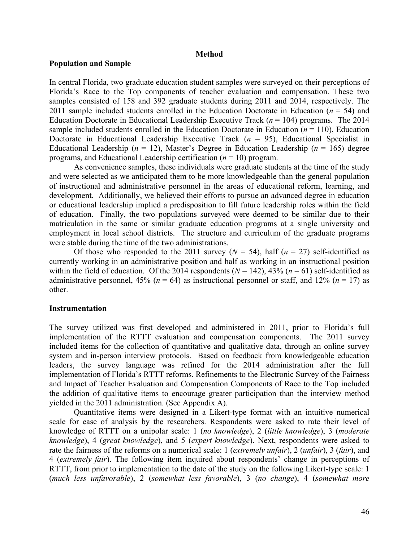#### **Method**

#### **Population and Sample**

In central Florida, two graduate education student samples were surveyed on their perceptions of Florida's Race to the Top components of teacher evaluation and compensation. These two samples consisted of 158 and 392 graduate students during 2011 and 2014, respectively. The 2011 sample included students enrolled in the Education Doctorate in Education ( $n = 54$ ) and Education Doctorate in Educational Leadership Executive Track (*n* = 104) programs. The 2014 sample included students enrolled in the Education Doctorate in Education  $(n = 110)$ , Education Doctorate in Educational Leadership Executive Track  $(n = 95)$ , Educational Specialist in Educational Leadership ( $n = 12$ ), Master's Degree in Education Leadership ( $n = 165$ ) degree programs, and Educational Leadership certification (*n* = 10) program.

As convenience samples, these individuals were graduate students at the time of the study and were selected as we anticipated them to be more knowledgeable than the general population of instructional and administrative personnel in the areas of educational reform, learning, and development. Additionally, we believed their efforts to pursue an advanced degree in education or educational leadership implied a predisposition to fill future leadership roles within the field of education. Finally, the two populations surveyed were deemed to be similar due to their matriculation in the same or similar graduate education programs at a single university and employment in local school districts. The structure and curriculum of the graduate programs were stable during the time of the two administrations.

Of those who responded to the 2011 survey  $(N = 54)$ , half  $(n = 27)$  self-identified as currently working in an administrative position and half as working in an instructional position within the field of education. Of the 2014 respondents ( $N = 142$ ), 43% ( $n = 61$ ) self-identified as administrative personnel,  $45\%$  ( $n = 64$ ) as instructional personnel or staff, and  $12\%$  ( $n = 17$ ) as other.

#### **Instrumentation**

The survey utilized was first developed and administered in 2011, prior to Florida's full implementation of the RTTT evaluation and compensation components. The 2011 survey included items for the collection of quantitative and qualitative data, through an online survey system and in-person interview protocols. Based on feedback from knowledgeable education leaders, the survey language was refined for the 2014 administration after the full implementation of Florida's RTTT reforms. Refinements to the Electronic Survey of the Fairness and Impact of Teacher Evaluation and Compensation Components of Race to the Top included the addition of qualitative items to encourage greater participation than the interview method yielded in the 2011 administration. (See Appendix A).

Quantitative items were designed in a Likert-type format with an intuitive numerical scale for ease of analysis by the researchers. Respondents were asked to rate their level of knowledge of RTTT on a unipolar scale: 1 (*no knowledge*), 2 (*little knowledge*), 3 (*moderate knowledge*), 4 (*great knowledge*), and 5 (*expert knowledge*). Next, respondents were asked to rate the fairness of the reforms on a numerical scale: 1 (*extremely unfair*), 2 (*unfair*), 3 (*fair*), and 4 (*extremely fair*). The following item inquired about respondents' change in perceptions of RTTT, from prior to implementation to the date of the study on the following Likert-type scale: 1 (*much less unfavorable*), 2 (*somewhat less favorable*), 3 (*no change*), 4 (*somewhat more*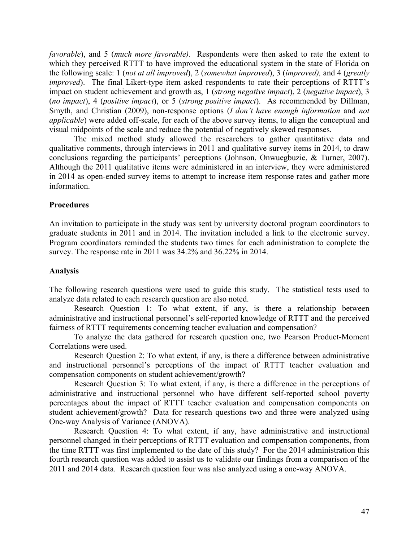*favorable*), and 5 (*much more favorable).* Respondents were then asked to rate the extent to which they perceived RTTT to have improved the educational system in the state of Florida on the following scale: 1 (*not at all improved*), 2 (*somewhat improved*), 3 (*improved),* and 4 (*greatly improved*). The final Likert-type item asked respondents to rate their perceptions of RTTT's impact on student achievement and growth as, 1 (*strong negative impact*), 2 (*negative impact*), 3 (*no impact*), 4 (*positive impact*), or 5 (*strong positive impact*). As recommended by Dillman, Smyth, and Christian (2009), non-response options (*I don't have enough information* and *not applicable*) were added off-scale, for each of the above survey items, to align the conceptual and visual midpoints of the scale and reduce the potential of negatively skewed responses.

The mixed method study allowed the researchers to gather quantitative data and qualitative comments, through interviews in 2011 and qualitative survey items in 2014, to draw conclusions regarding the participants' perceptions (Johnson, Onwuegbuzie, & Turner, 2007). Although the 2011 qualitative items were administered in an interview, they were administered in 2014 as open-ended survey items to attempt to increase item response rates and gather more information.

#### **Procedures**

An invitation to participate in the study was sent by university doctoral program coordinators to graduate students in 2011 and in 2014. The invitation included a link to the electronic survey. Program coordinators reminded the students two times for each administration to complete the survey. The response rate in 2011 was 34.2% and 36.22% in 2014.

#### **Analysis**

The following research questions were used to guide this study. The statistical tests used to analyze data related to each research question are also noted.

Research Question 1: To what extent, if any, is there a relationship between administrative and instructional personnel's self-reported knowledge of RTTT and the perceived fairness of RTTT requirements concerning teacher evaluation and compensation?

To analyze the data gathered for research question one, two Pearson Product-Moment Correlations were used.

Research Question 2: To what extent, if any, is there a difference between administrative and instructional personnel's perceptions of the impact of RTTT teacher evaluation and compensation components on student achievement/growth?

Research Question 3: To what extent, if any, is there a difference in the perceptions of administrative and instructional personnel who have different self-reported school poverty percentages about the impact of RTTT teacher evaluation and compensation components on student achievement/growth? Data for research questions two and three were analyzed using One-way Analysis of Variance (ANOVA).

Research Question 4: To what extent, if any, have administrative and instructional personnel changed in their perceptions of RTTT evaluation and compensation components, from the time RTTT was first implemented to the date of this study? For the 2014 administration this fourth research question was added to assist us to validate our findings from a comparison of the 2011 and 2014 data. Research question four was also analyzed using a one-way ANOVA.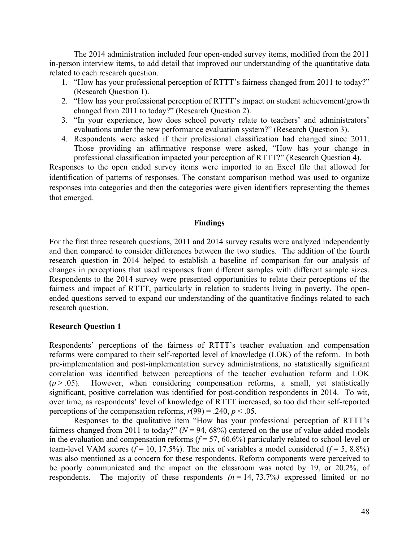The 2014 administration included four open-ended survey items, modified from the 2011 in-person interview items, to add detail that improved our understanding of the quantitative data related to each research question.

- 1. "How has your professional perception of RTTT's fairness changed from 2011 to today?" (Research Question 1).
- 2. "How has your professional perception of RTTT's impact on student achievement/growth changed from 2011 to today?" (Research Question 2).
- 3. "In your experience, how does school poverty relate to teachers' and administrators' evaluations under the new performance evaluation system?" (Research Question 3).
- 4. Respondents were asked if their professional classification had changed since 2011. Those providing an affirmative response were asked, "How has your change in professional classification impacted your perception of RTTT?" (Research Question 4).

Responses to the open ended survey items were imported to an Excel file that allowed for identification of patterns of responses. The constant comparison method was used to organize responses into categories and then the categories were given identifiers representing the themes that emerged.

#### **Findings**

For the first three research questions, 2011 and 2014 survey results were analyzed independently and then compared to consider differences between the two studies. The addition of the fourth research question in 2014 helped to establish a baseline of comparison for our analysis of changes in perceptions that used responses from different samples with different sample sizes. Respondents to the 2014 survey were presented opportunities to relate their perceptions of the fairness and impact of RTTT, particularly in relation to students living in poverty. The openended questions served to expand our understanding of the quantitative findings related to each research question.

#### **Research Question 1**

Respondents' perceptions of the fairness of RTTT's teacher evaluation and compensation reforms were compared to their self-reported level of knowledge (LOK) of the reform. In both pre-implementation and post-implementation survey administrations, no statistically significant correlation was identified between perceptions of the teacher evaluation reform and LOK  $(p > .05)$ . However, when considering compensation reforms, a small, yet statistically significant, positive correlation was identified for post-condition respondents in 2014. To wit, over time, as respondents' level of knowledge of RTTT increased, so too did their self-reported perceptions of the compensation reforms,  $r(99) = .240$ ,  $p < .05$ .

Responses to the qualitative item "How has your professional perception of RTTT's fairness changed from 2011 to today?"  $(N = 94, 68\%)$  centered on the use of value-added models in the evaluation and compensation reforms  $(f = 57, 60.6%)$  particularly related to school-level or team-level VAM scores  $(f = 10, 17.5\%)$ . The mix of variables a model considered  $(f = 5, 8.8\%)$ was also mentioned as a concern for these respondents. Reform components were perceived to be poorly communicated and the impact on the classroom was noted by 19, or 20.2%, of respondents. The majority of these respondents  $(n = 14, 73.7%)$  expressed limited or no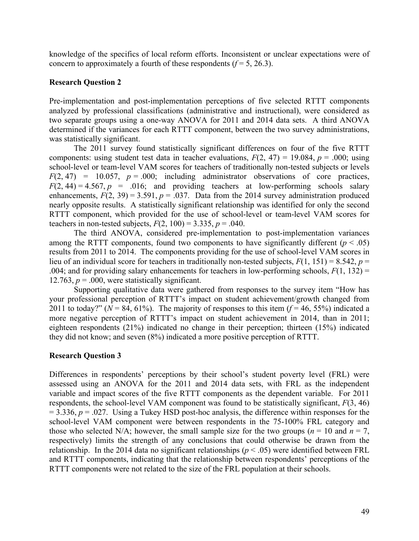knowledge of the specifics of local reform efforts. Inconsistent or unclear expectations were of concern to approximately a fourth of these respondents  $(f=5, 26.3)$ .

## **Research Question 2**

Pre-implementation and post-implementation perceptions of five selected RTTT components analyzed by professional classifications (administrative and instructional), were considered as two separate groups using a one-way ANOVA for 2011 and 2014 data sets. A third ANOVA determined if the variances for each RTTT component, between the two survey administrations, was statistically significant.

The 2011 survey found statistically significant differences on four of the five RTTT components: using student test data in teacher evaluations,  $F(2, 47) = 19.084$ ,  $p = .000$ ; using school-level or team-level VAM scores for teachers of traditionally non-tested subjects or levels  $F(2, 47) = 10.057$ ,  $p = .000$ ; including administrator observations of core practices,  $F(2, 44) = 4.567$ ,  $p = .016$ ; and providing teachers at low-performing schools salary enhancements,  $F(2, 39) = 3.591$ ,  $p = .037$ . Data from the 2014 survey administration produced nearly opposite results. A statistically significant relationship was identified for only the second RTTT component, which provided for the use of school-level or team-level VAM scores for teachers in non-tested subjects,  $F(2, 100) = 3.335$ ,  $p = .040$ .

The third ANOVA, considered pre-implementation to post-implementation variances among the RTTT components, found two components to have significantly different  $(p < .05)$ results from 2011 to 2014. The components providing for the use of school-level VAM scores in lieu of an individual score for teachers in traditionally non-tested subjects, *F*(1, 151) = 8.542, *p* = .004; and for providing salary enhancements for teachers in low-performing schools,  $F(1, 132) =$ 12.763,  $p = .000$ , were statistically significant.

Supporting qualitative data were gathered from responses to the survey item "How has your professional perception of RTTT's impact on student achievement/growth changed from 2011 to today?" ( $N = 84, 61\%$ ). The majority of responses to this item ( $f = 46, 55\%$ ) indicated a more negative perception of RTTT's impact on student achievement in 2014, than in 2011; eighteen respondents (21%) indicated no change in their perception; thirteen (15%) indicated they did not know; and seven (8%) indicated a more positive perception of RTTT.

#### **Research Question 3**

Differences in respondents' perceptions by their school's student poverty level (FRL) were assessed using an ANOVA for the 2011 and 2014 data sets, with FRL as the independent variable and impact scores of the five RTTT components as the dependent variable. For 2011 respondents, the school-level VAM component was found to be statistically significant, *F*(3, 46)  $= 3.336$ ,  $p = .027$ . Using a Tukey HSD post-hoc analysis, the difference within responses for the school-level VAM component were between respondents in the 75-100% FRL category and those who selected N/A; however, the small sample size for the two groups ( $n = 10$  and  $n = 7$ , respectively) limits the strength of any conclusions that could otherwise be drawn from the relationship. In the 2014 data no significant relationships ( $p < .05$ ) were identified between FRL and RTTT components, indicating that the relationship between respondents' perceptions of the RTTT components were not related to the size of the FRL population at their schools.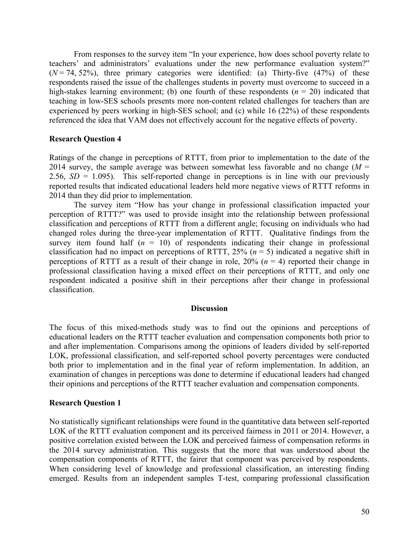From responses to the survey item "In your experience, how does school poverty relate to teachers' and administrators' evaluations under the new performance evaluation system?"  $(N = 74, 52\%)$ , three primary categories were identified: (a) Thirty-five  $(47\%)$  of these respondents raised the issue of the challenges students in poverty must overcome to succeed in a high-stakes learning environment; (b) one fourth of these respondents (*n* = 20) indicated that teaching in low-SES schools presents more non-content related challenges for teachers than are experienced by peers working in high-SES school; and (c) while 16 (22%) of these respondents referenced the idea that VAM does not effectively account for the negative effects of poverty.

#### **Research Question 4**

Ratings of the change in perceptions of RTTT, from prior to implementation to the date of the 2014 survey, the sample average was between somewhat less favorable and no change  $(M =$ 2.56,  $SD = 1.095$ ). This self-reported change in perceptions is in line with our previously reported results that indicated educational leaders held more negative views of RTTT reforms in 2014 than they did prior to implementation.

The survey item "How has your change in professional classification impacted your perception of RTTT?" was used to provide insight into the relationship between professional classification and perceptions of RTTT from a different angle; focusing on individuals who had changed roles during the three-year implementation of RTTT. Qualitative findings from the survey item found half  $(n = 10)$  of respondents indicating their change in professional classification had no impact on perceptions of RTTT,  $25\%$  ( $n = 5$ ) indicated a negative shift in perceptions of RTTT as a result of their change in role,  $20\%$  ( $n = 4$ ) reported their change in professional classification having a mixed effect on their perceptions of RTTT, and only one respondent indicated a positive shift in their perceptions after their change in professional classification.

#### **Discussion**

The focus of this mixed-methods study was to find out the opinions and perceptions of educational leaders on the RTTT teacher evaluation and compensation components both prior to and after implementation. Comparisons among the opinions of leaders divided by self-reported LOK, professional classification, and self-reported school poverty percentages were conducted both prior to implementation and in the final year of reform implementation. In addition, an examination of changes in perceptions was done to determine if educational leaders had changed their opinions and perceptions of the RTTT teacher evaluation and compensation components.

#### **Research Question 1**

No statistically significant relationships were found in the quantitative data between self-reported LOK of the RTTT evaluation component and its perceived fairness in 2011 or 2014. However, a positive correlation existed between the LOK and perceived fairness of compensation reforms in the 2014 survey administration. This suggests that the more that was understood about the compensation components of RTTT, the fairer that component was perceived by respondents. When considering level of knowledge and professional classification, an interesting finding emerged. Results from an independent samples T-test, comparing professional classification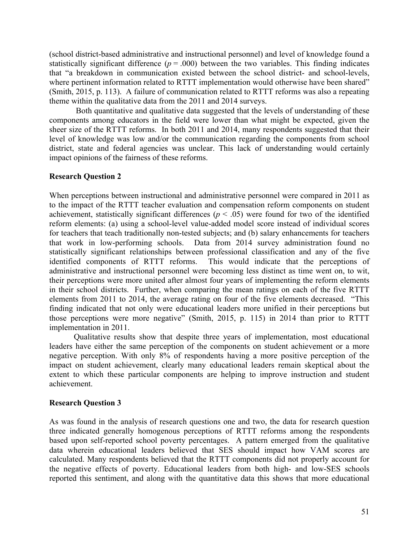(school district-based administrative and instructional personnel) and level of knowledge found a statistically significant difference  $(p = .000)$  between the two variables. This finding indicates that "a breakdown in communication existed between the school district- and school-levels, where pertinent information related to RTTT implementation would otherwise have been shared" (Smith, 2015, p. 113). A failure of communication related to RTTT reforms was also a repeating theme within the qualitative data from the 2011 and 2014 surveys.

Both quantitative and qualitative data suggested that the levels of understanding of these components among educators in the field were lower than what might be expected, given the sheer size of the RTTT reforms. In both 2011 and 2014, many respondents suggested that their level of knowledge was low and/or the communication regarding the components from school district, state and federal agencies was unclear. This lack of understanding would certainly impact opinions of the fairness of these reforms.

#### **Research Question 2**

When perceptions between instructional and administrative personnel were compared in 2011 as to the impact of the RTTT teacher evaluation and compensation reform components on student achievement, statistically significant differences ( $p < .05$ ) were found for two of the identified reform elements: (a) using a school-level value-added model score instead of individual scores for teachers that teach traditionally non-tested subjects; and (b) salary enhancements for teachers that work in low-performing schools. Data from 2014 survey administration found no statistically significant relationships between professional classification and any of the five identified components of RTTT reforms. This would indicate that the perceptions of administrative and instructional personnel were becoming less distinct as time went on, to wit, their perceptions were more united after almost four years of implementing the reform elements in their school districts. Further, when comparing the mean ratings on each of the five RTTT elements from 2011 to 2014, the average rating on four of the five elements decreased. "This finding indicated that not only were educational leaders more unified in their perceptions but those perceptions were more negative" (Smith, 2015, p. 115) in 2014 than prior to RTTT implementation in 2011.

Qualitative results show that despite three years of implementation, most educational leaders have either the same perception of the components on student achievement or a more negative perception. With only 8% of respondents having a more positive perception of the impact on student achievement, clearly many educational leaders remain skeptical about the extent to which these particular components are helping to improve instruction and student achievement.

#### **Research Question 3**

As was found in the analysis of research questions one and two, the data for research question three indicated generally homogenous perceptions of RTTT reforms among the respondents based upon self-reported school poverty percentages. A pattern emerged from the qualitative data wherein educational leaders believed that SES should impact how VAM scores are calculated. Many respondents believed that the RTTT components did not properly account for the negative effects of poverty. Educational leaders from both high- and low-SES schools reported this sentiment, and along with the quantitative data this shows that more educational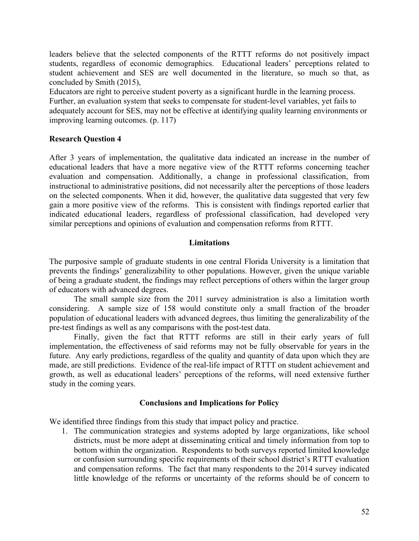leaders believe that the selected components of the RTTT reforms do not positively impact students, regardless of economic demographics. Educational leaders' perceptions related to student achievement and SES are well documented in the literature, so much so that, as concluded by Smith (2015),

Educators are right to perceive student poverty as a significant hurdle in the learning process. Further, an evaluation system that seeks to compensate for student-level variables, yet fails to adequately account for SES, may not be effective at identifying quality learning environments or improving learning outcomes. (p. 117)

## **Research Question 4**

After 3 years of implementation, the qualitative data indicated an increase in the number of educational leaders that have a more negative view of the RTTT reforms concerning teacher evaluation and compensation. Additionally, a change in professional classification, from instructional to administrative positions, did not necessarily alter the perceptions of those leaders on the selected components. When it did, however, the qualitative data suggested that very few gain a more positive view of the reforms. This is consistent with findings reported earlier that indicated educational leaders, regardless of professional classification, had developed very similar perceptions and opinions of evaluation and compensation reforms from RTTT.

#### **Limitations**

The purposive sample of graduate students in one central Florida University is a limitation that prevents the findings' generalizability to other populations. However, given the unique variable of being a graduate student, the findings may reflect perceptions of others within the larger group of educators with advanced degrees.

The small sample size from the 2011 survey administration is also a limitation worth considering. A sample size of 158 would constitute only a small fraction of the broader population of educational leaders with advanced degrees, thus limiting the generalizability of the pre-test findings as well as any comparisons with the post-test data.

Finally, given the fact that RTTT reforms are still in their early years of full implementation, the effectiveness of said reforms may not be fully observable for years in the future. Any early predictions, regardless of the quality and quantity of data upon which they are made, are still predictions. Evidence of the real-life impact of RTTT on student achievement and growth, as well as educational leaders' perceptions of the reforms, will need extensive further study in the coming years.

## **Conclusions and Implications for Policy**

We identified three findings from this study that impact policy and practice.

1. The communication strategies and systems adopted by large organizations, like school districts, must be more adept at disseminating critical and timely information from top to bottom within the organization. Respondents to both surveys reported limited knowledge or confusion surrounding specific requirements of their school district's RTTT evaluation and compensation reforms. The fact that many respondents to the 2014 survey indicated little knowledge of the reforms or uncertainty of the reforms should be of concern to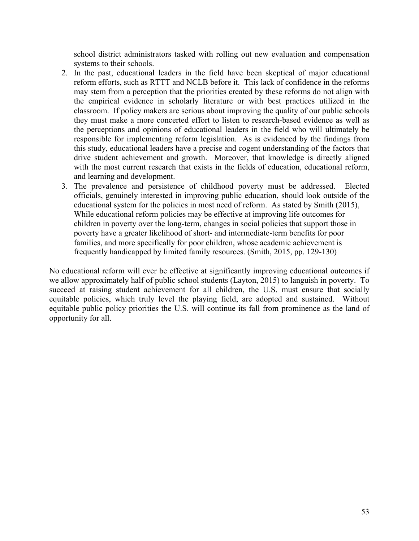school district administrators tasked with rolling out new evaluation and compensation systems to their schools.

- 2. In the past, educational leaders in the field have been skeptical of major educational reform efforts, such as RTTT and NCLB before it. This lack of confidence in the reforms may stem from a perception that the priorities created by these reforms do not align with the empirical evidence in scholarly literature or with best practices utilized in the classroom. If policy makers are serious about improving the quality of our public schools they must make a more concerted effort to listen to research-based evidence as well as the perceptions and opinions of educational leaders in the field who will ultimately be responsible for implementing reform legislation. As is evidenced by the findings from this study, educational leaders have a precise and cogent understanding of the factors that drive student achievement and growth. Moreover, that knowledge is directly aligned with the most current research that exists in the fields of education, educational reform, and learning and development.
- 3. The prevalence and persistence of childhood poverty must be addressed. Elected officials, genuinely interested in improving public education, should look outside of the educational system for the policies in most need of reform. As stated by Smith (2015), While educational reform policies may be effective at improving life outcomes for children in poverty over the long-term, changes in social policies that support those in poverty have a greater likelihood of short- and intermediate-term benefits for poor families, and more specifically for poor children, whose academic achievement is frequently handicapped by limited family resources. (Smith, 2015, pp. 129-130)

No educational reform will ever be effective at significantly improving educational outcomes if we allow approximately half of public school students (Layton, 2015) to languish in poverty. To succeed at raising student achievement for all children, the U.S. must ensure that socially equitable policies, which truly level the playing field, are adopted and sustained. Without equitable public policy priorities the U.S. will continue its fall from prominence as the land of opportunity for all.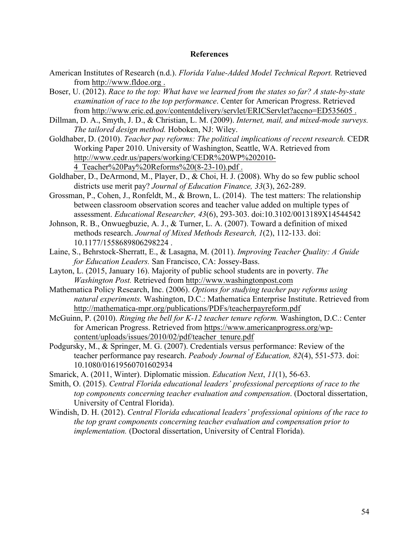#### **References**

- American Institutes of Research (n.d.). *Florida Value-Added Model Technical Report.* Retrieved from http://www.fldoe.org .
- Boser, U. (2012). *Race to the top: What have we learned from the states so far? A state-by-state examination of race to the top performance*. Center for American Progress. Retrieved from http://www.eric.ed.gov/contentdelivery/servlet/ERICServlet?accno=ED535605 .
- Dillman, D. A., Smyth, J. D., & Christian, L. M. (2009). *Internet, mail, and mixed-mode surveys. The tailored design method.* Hoboken, NJ: Wiley.
- Goldhaber, D. (2010). *Teacher pay reforms: The political implications of recent research.* CEDR Working Paper 2010. University of Washington, Seattle, WA. Retrieved from http://www.cedr.us/papers/working/CEDR%20WP%202010- 4\_Teacher%20Pay%20Reforms%20(8-23-10).pdf .
- Goldhaber, D., DeArmond, M., Player, D., & Choi, H. J. (2008). Why do so few public school districts use merit pay? *Journal of Education Finance, 33*(3), 262-289.
- Grossman, P., Cohen, J., Ronfeldt, M., & Brown, L. (2014). The test matters: The relationship between classroom observation scores and teacher value added on multiple types of assessment. *Educational Researcher, 43*(6), 293-303. doi:10.3102/0013189X14544542
- Johnson, R. B., Onwuegbuzie, A. J., & Turner, L. A. (2007). Toward a definition of mixed methods research. *Journal of Mixed Methods Research, 1*(2), 112-133. doi: 10.1177/1558689806298224 .
- Laine, S., Behrstock-Sherratt, E., & Lasagna, M. (2011). *Improving Teacher Quality: A Guide for Education Leaders.* San Francisco, CA: Jossey-Bass.
- Layton, L. (2015, January 16). Majority of public school students are in poverty. *The Washington Post.* Retrieved from http://www.washingtonpost.com
- Mathematica Policy Research, Inc. (2006). *Options for studying teacher pay reforms using natural experiments.* Washington, D.C.: Mathematica Enterprise Institute. Retrieved from http://mathematica-mpr.org/publications/PDFs/teacherpayreform.pdf
- McGuinn, P. (2010). *Ringing the bell for K-12 teacher tenure reform.* Washington, D.C.: Center for American Progress. Retrieved from https://www.americanprogress.org/wpcontent/uploads/issues/2010/02/pdf/teacher\_tenure.pdf
- Podgursky, M., & Springer, M. G. (2007). Credentials versus performance: Review of the teacher performance pay research. *Peabody Journal of Education, 82*(4), 551-573. doi: 10.1080/01619560701602934
- Smarick, A. (2011, Winter). Diplomatic mission. *Education Next*, *11*(1), 56-63.
- Smith, O. (2015). *Central Florida educational leaders' professional perceptions of race to the top components concerning teacher evaluation and compensation*. (Doctoral dissertation, University of Central Florida).
- Windish, D. H. (2012). *Central Florida educational leaders' professional opinions of the race to the top grant components concerning teacher evaluation and compensation prior to implementation.* (Doctoral dissertation, University of Central Florida).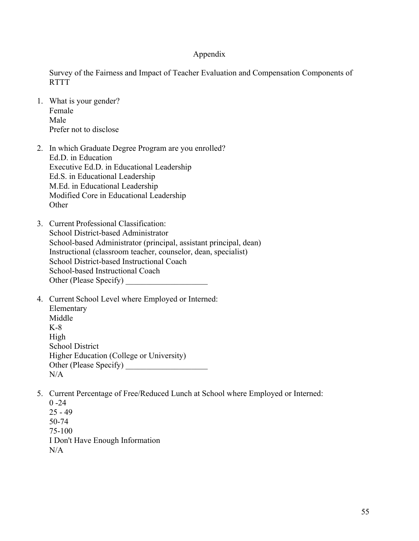#### Appendix

Survey of the Fairness and Impact of Teacher Evaluation and Compensation Components of **RTTT** 

- 1. What is your gender? Female Male Prefer not to disclose
- 2. In which Graduate Degree Program are you enrolled? Ed.D. in Education Executive Ed.D. in Educational Leadership Ed.S. in Educational Leadership M.Ed. in Educational Leadership Modified Core in Educational Leadership **Other**
- 3. Current Professional Classification: School District-based Administrator School-based Administrator (principal, assistant principal, dean) Instructional (classroom teacher, counselor, dean, specialist) School District-based Instructional Coach School-based Instructional Coach Other (Please Specify)
- 4. Current School Level where Employed or Interned: Elementary Middle K-8 High School District Higher Education (College or University) Other (Please Specify) \_\_\_\_\_\_\_\_\_\_\_\_\_\_\_\_\_\_\_\_  $N/A$
- 5. Current Percentage of Free/Reduced Lunch at School where Employed or Interned:  $0 - 24$ 25 - 49 50-74

75-100 I Don't Have Enough Information  $N/A$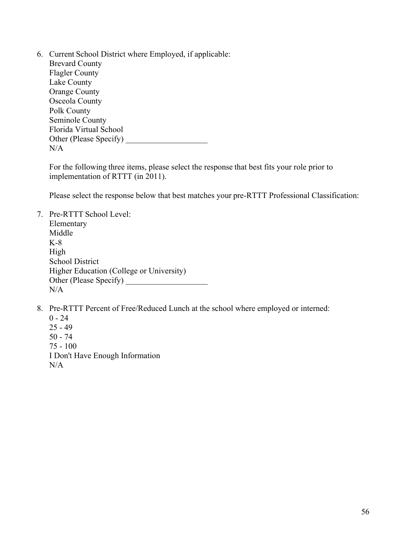6. Current School District where Employed, if applicable: Brevard County Flagler County Lake County Orange County Osceola County Polk County Seminole County Florida Virtual School Other (Please Specify)  $N/A$ 

For the following three items, please select the response that best fits your role prior to implementation of RTTT (in 2011).

Please select the response below that best matches your pre-RTTT Professional Classification:

7. Pre-RTTT School Level: Elementary Middle K-8 High School District Higher Education (College or University) Other (Please Specify)  $N/A$ 

8. Pre-RTTT Percent of Free/Reduced Lunch at the school where employed or interned:

 $0 - 24$ 25 - 49 50 - 74 75 - 100 I Don't Have Enough Information  $N/A$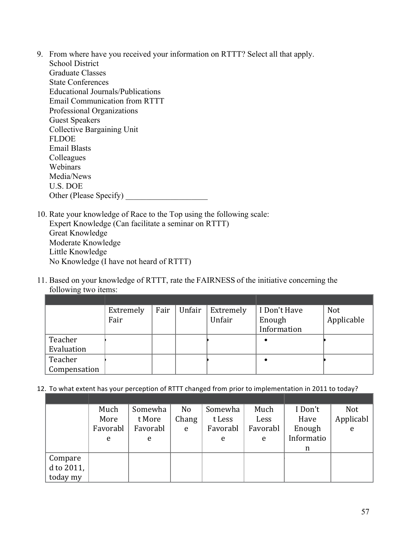- 9. From where have you received your information on RTTT? Select all that apply. School District Graduate Classes State Conferences Educational Journals/Publications Email Communication from RTTT Professional Organizations Guest Speakers Collective Bargaining Unit **FLDOE** Email Blasts Colleagues Webinars Media/News U.S. DOE Other (Please Specify) \_\_\_\_\_\_\_\_\_\_\_\_\_\_\_\_\_\_\_\_
- 10. Rate your knowledge of Race to the Top using the following scale: Expert Knowledge (Can facilitate a seminar on RTTT) Great Knowledge Moderate Knowledge Little Knowledge No Knowledge (I have not heard of RTTT)
- 11. Based on your knowledge of RTTT, rate the FAIRNESS of the initiative concerning the following two items:

|              | Extremely | Fair | Unfair | Extremely | I Don't Have | <b>Not</b> |
|--------------|-----------|------|--------|-----------|--------------|------------|
|              | Fair      |      |        | Unfair    | Enough       | Applicable |
|              |           |      |        |           | Information  |            |
| Teacher      |           |      |        |           |              |            |
| Evaluation   |           |      |        |           |              |            |
| Teacher      |           |      |        |           |              |            |
| Compensation |           |      |        |           |              |            |

12. To what extent has your perception of RTTT changed from prior to implementation in 2011 to today?

|               | Much     | Somewha  | N <sub>0</sub> | Somewha  | Much     | I Don't    | <b>Not</b> |
|---------------|----------|----------|----------------|----------|----------|------------|------------|
|               | More     | t More   | Chang          | t Less   | Less     | Have       | Applicabl  |
|               | Favorabl | Favorabl | e              | Favorabl | Favorabl | Enough     | e          |
|               | e        | e        |                | e        | e        | Informatio |            |
|               |          |          |                |          |          | n          |            |
| Compare       |          |          |                |          |          |            |            |
| d to $2011$ , |          |          |                |          |          |            |            |
| today my      |          |          |                |          |          |            |            |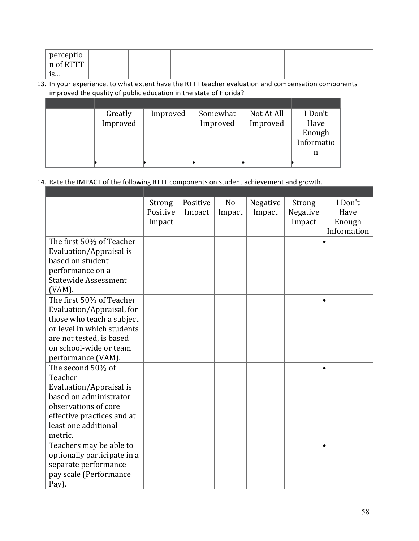| perceptio !<br>n of RTTT |  |  |  |  |
|--------------------------|--|--|--|--|
| $\mathbf{z}$<br>15       |  |  |  |  |

## 13. In your experience, to what extent have the RTTT teacher evaluation and compensation components improved the quality of public education in the state of Florida?

| Greatly  | Improved | Somewhat | Not At All | I Don't    |
|----------|----------|----------|------------|------------|
| Improved |          | Improved | Improved   | Have       |
|          |          |          |            | Enough     |
|          |          |          |            | Informatio |
|          |          |          |            |            |
|          |          |          |            |            |

## 14. Rate the IMPACT of the following RTTT components on student achievement and growth.

|                             | Strong   | Positive | N <sub>o</sub> | Negative | Strong   | I Don't     |
|-----------------------------|----------|----------|----------------|----------|----------|-------------|
|                             | Positive | Impact   | Impact         | Impact   | Negative | Have        |
|                             | Impact   |          |                |          | Impact   | Enough      |
|                             |          |          |                |          |          | Information |
| The first 50% of Teacher    |          |          |                |          |          |             |
| Evaluation/Appraisal is     |          |          |                |          |          |             |
| based on student            |          |          |                |          |          |             |
| performance on a            |          |          |                |          |          |             |
| <b>Statewide Assessment</b> |          |          |                |          |          |             |
| $(VAM)$ .                   |          |          |                |          |          |             |
| The first 50% of Teacher    |          |          |                |          |          |             |
| Evaluation/Appraisal, for   |          |          |                |          |          |             |
| those who teach a subject   |          |          |                |          |          |             |
| or level in which students  |          |          |                |          |          |             |
| are not tested, is based    |          |          |                |          |          |             |
| on school-wide or team      |          |          |                |          |          |             |
| performance (VAM).          |          |          |                |          |          |             |
| The second 50% of           |          |          |                |          |          |             |
| Teacher                     |          |          |                |          |          |             |
| Evaluation/Appraisal is     |          |          |                |          |          |             |
| based on administrator      |          |          |                |          |          |             |
| observations of core        |          |          |                |          |          |             |
| effective practices and at  |          |          |                |          |          |             |
| least one additional        |          |          |                |          |          |             |
| metric.                     |          |          |                |          |          |             |
| Teachers may be able to     |          |          |                |          |          |             |
| optionally participate in a |          |          |                |          |          |             |
| separate performance        |          |          |                |          |          |             |
| pay scale (Performance      |          |          |                |          |          |             |
| Pay).                       |          |          |                |          |          |             |